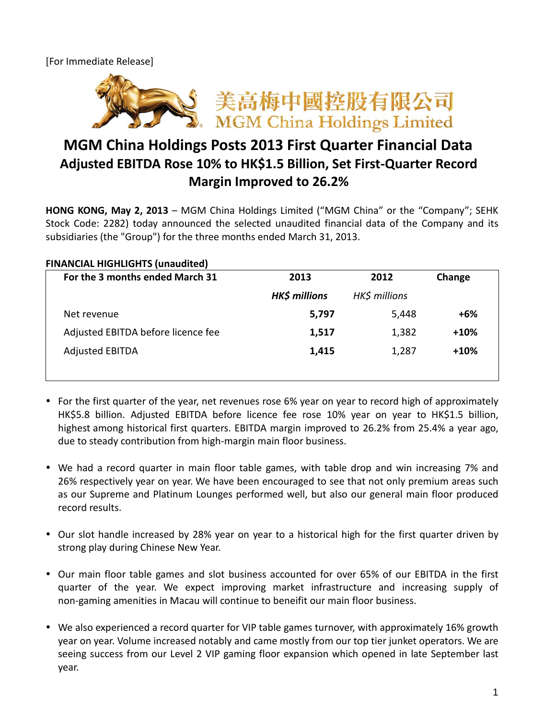[For Immediate Release]



## **MGM China Holdings Posts 2013 First Quarter Financial Data Adjusted EBITDA Rose 10% to HK\$1.5 Billion, Set First-Quarter Record Margin Improved to 26.2%**

**HONG KONG, May 2, 2013** – MGM China Holdings Limited ("MGM China" or the "Company"; SEHK Stock Code: 2282) today announced the selected unaudited financial data of the Company and its subsidiaries (the "Group") for the three months ended March 31, 2013.

## **FINANCIAL HIGHLIGHTS (unaudited)**

| For the 3 months ended March 31    | 2013                 | 2012          | Change |
|------------------------------------|----------------------|---------------|--------|
|                                    | <b>HK\$ millions</b> | HK\$ millions |        |
| Net revenue                        | 5,797                | 5,448         | +6%    |
| Adjusted EBITDA before licence fee | 1,517                | 1,382         | $+10%$ |
| <b>Adjusted EBITDA</b>             | 1,415                | 1,287         | $+10%$ |

- For the first quarter of the year, net revenues rose 6% year on year to record high of approximately HK\$5.8 billion. Adjusted EBITDA before licence fee rose 10% year on year to HK\$1.5 billion, highest among historical first quarters. EBITDA margin improved to 26.2% from 25.4% a year ago, due to steady contribution from high-margin main floor business.
- We had a record quarter in main floor table games, with table drop and win increasing 7% and 26% respectively year on year. We have been encouraged to see that not only premium areas such as our Supreme and Platinum Lounges performed well, but also our general main floor produced record results.
- Our slot handle increased by 28% year on year to a historical high for the first quarter driven by strong play during Chinese New Year.
- Our main floor table games and slot business accounted for over 65% of our EBITDA in the first quarter of the year. We expect improving market infrastructure and increasing supply of non-gaming amenities in Macau will continue to beneifit our main floor business.
- We also experienced a record quarter for VIP table games turnover, with approximately 16% growth year on year. Volume increased notably and came mostly from our top tier junket operators. We are seeing success from our Level 2 VIP gaming floor expansion which opened in late September last year.